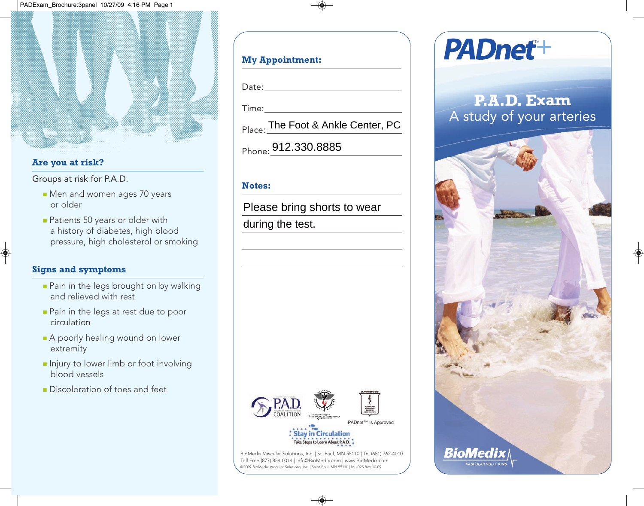#### **Are you at risk?**

Groups at risk for P.A.D.

- **n** Men and women ages 70 years or older
- **Patients 50 years or older with** a history of diabetes, high blood pressure, high cholesterol or smoking

#### **Signs and symptoms**

- **Pain in the legs brought on by walking** and relieved with rest
- **Pain in the legs at rest due to poor** circulation
- A poorly healing wound on lower extremity
- **n** Injury to lower limb or foot involving blood vessels
- **n** Discoloration of toes and feet

### **My Appointment:**

Date:

Time:

Place: The Foot & Ankle Center, PC

Phone: 912.330.8885

#### **Notes:**

Please bring shorts to wear

during the test.



BioMedix Vascular Solutions, Inc. | St. Paul, MN 55110 | Tel (651) 762-4010 Toll Free (877) 854-0014 | info@BioMedix.com | www.BioMedix.com ©2009 BioMedix Vascular Solutions, Inc. | Saint Paul, MN 55110 | ML-025 Rev 10-09

# **PADnet+**

## **P.A.D. Exam** A study of your arteries